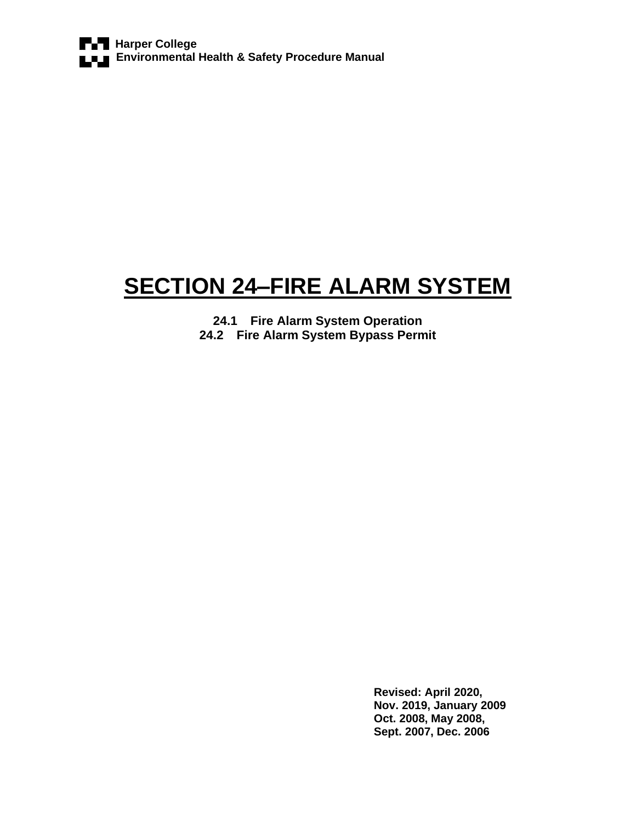# **SECTION 24–FIRE ALARM SYSTEM**

**24.1 Fire Alarm System Operation 24.2 Fire Alarm System Bypass Permit**

> **Revised: April 2020, Nov. 2019, January 2009 Oct. 2008, May 2008, Sept. 2007, Dec. 2006**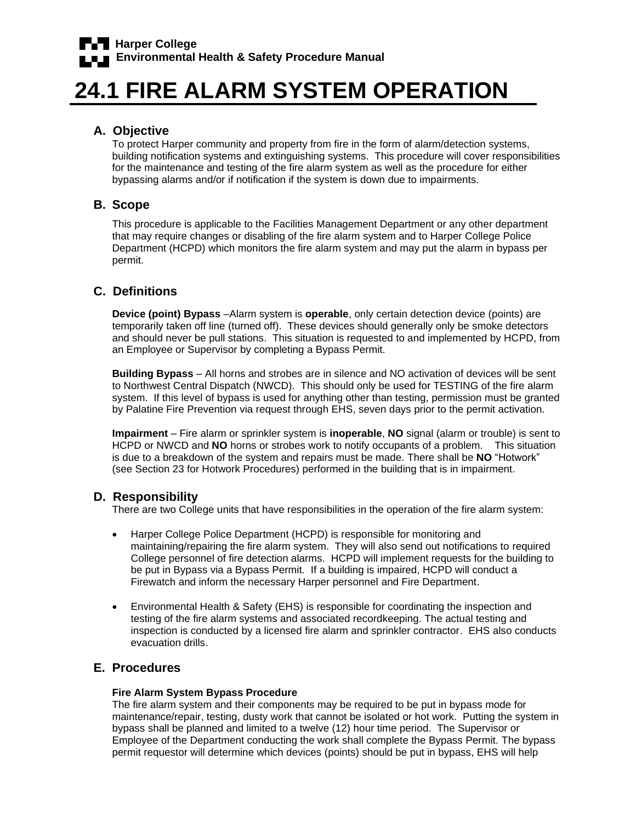# **24.1 FIRE ALARM SYSTEM OPERATION**

# **A. Objective**

To protect Harper community and property from fire in the form of alarm/detection systems, building notification systems and extinguishing systems. This procedure will cover responsibilities for the maintenance and testing of the fire alarm system as well as the procedure for either bypassing alarms and/or if notification if the system is down due to impairments.

## **B. Scope**

This procedure is applicable to the Facilities Management Department or any other department that may require changes or disabling of the fire alarm system and to Harper College Police Department (HCPD) which monitors the fire alarm system and may put the alarm in bypass per permit.

# **C. Definitions**

**Device (point) Bypass** –Alarm system is **operable**, only certain detection device (points) are temporarily taken off line (turned off). These devices should generally only be smoke detectors and should never be pull stations. This situation is requested to and implemented by HCPD, from an Employee or Supervisor by completing a Bypass Permit.

**Building Bypass** – All horns and strobes are in silence and NO activation of devices will be sent to Northwest Central Dispatch (NWCD). This should only be used for TESTING of the fire alarm system. If this level of bypass is used for anything other than testing, permission must be granted by Palatine Fire Prevention via request through EHS, seven days prior to the permit activation.

**Impairment** – Fire alarm or sprinkler system is **inoperable**, **NO** signal (alarm or trouble) is sent to HCPD or NWCD and **NO** horns or strobes work to notify occupants of a problem. This situation is due to a breakdown of the system and repairs must be made. There shall be **NO** "Hotwork" (see Section 23 for Hotwork Procedures) performed in the building that is in impairment.

### **D. Responsibility**

There are two College units that have responsibilities in the operation of the fire alarm system:

- Harper College Police Department (HCPD) is responsible for monitoring and maintaining/repairing the fire alarm system. They will also send out notifications to required College personnel of fire detection alarms. HCPD will implement requests for the building to be put in Bypass via a Bypass Permit. If a building is impaired, HCPD will conduct a Firewatch and inform the necessary Harper personnel and Fire Department.
- Environmental Health & Safety (EHS) is responsible for coordinating the inspection and testing of the fire alarm systems and associated recordkeeping. The actual testing and inspection is conducted by a licensed fire alarm and sprinkler contractor. EHS also conducts evacuation drills.

## **E. Procedures**

#### **Fire Alarm System Bypass Procedure**

The fire alarm system and their components may be required to be put in bypass mode for maintenance/repair, testing, dusty work that cannot be isolated or hot work. Putting the system in bypass shall be planned and limited to a twelve (12) hour time period. The Supervisor or Employee of the Department conducting the work shall complete the Bypass Permit. The bypass permit requestor will determine which devices (points) should be put in bypass, EHS will help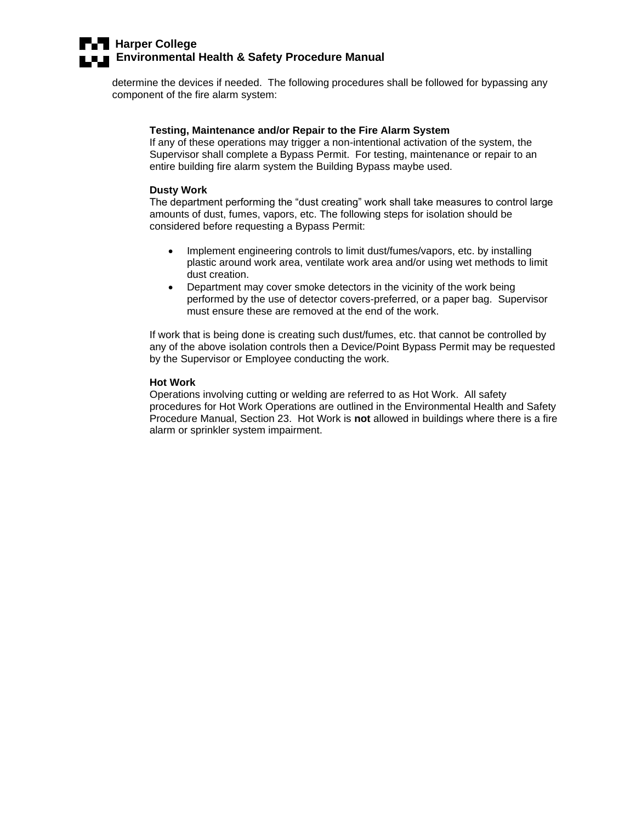# **Harper College Example 3 Environmental Health & Safety Procedure Manual**

determine the devices if needed. The following procedures shall be followed for bypassing any component of the fire alarm system:

#### **Testing, Maintenance and/or Repair to the Fire Alarm System**

If any of these operations may trigger a non-intentional activation of the system, the Supervisor shall complete a Bypass Permit. For testing, maintenance or repair to an entire building fire alarm system the Building Bypass maybe used.

#### **Dusty Work**

The department performing the "dust creating" work shall take measures to control large amounts of dust, fumes, vapors, etc. The following steps for isolation should be considered before requesting a Bypass Permit:

- Implement engineering controls to limit dust/fumes/vapors, etc. by installing plastic around work area, ventilate work area and/or using wet methods to limit dust creation.
- Department may cover smoke detectors in the vicinity of the work being performed by the use of detector covers-preferred, or a paper bag. Supervisor must ensure these are removed at the end of the work.

If work that is being done is creating such dust/fumes, etc. that cannot be controlled by any of the above isolation controls then a Device/Point Bypass Permit may be requested by the Supervisor or Employee conducting the work.

#### **Hot Work**

Operations involving cutting or welding are referred to as Hot Work. All safety procedures for Hot Work Operations are outlined in the Environmental Health and Safety Procedure Manual, Section 23. Hot Work is **not** allowed in buildings where there is a fire alarm or sprinkler system impairment.